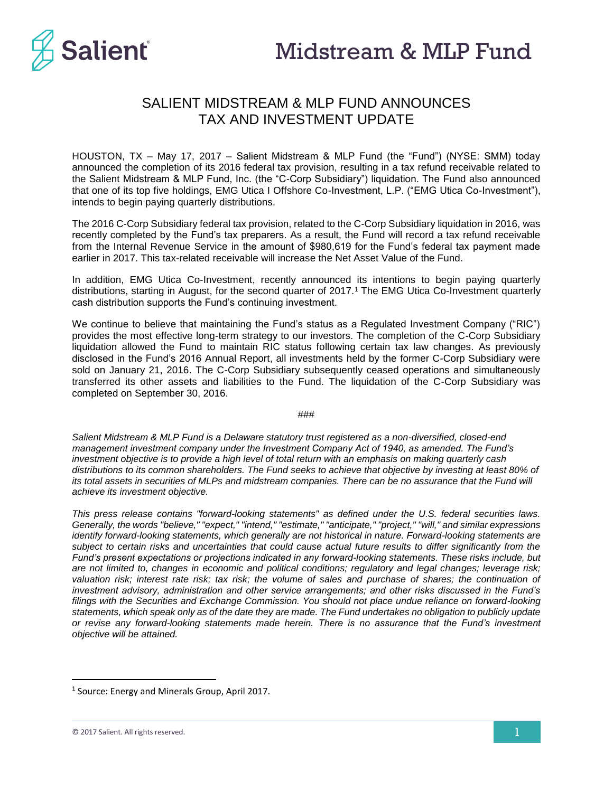

## SALIENT MIDSTREAM & MLP FUND ANNOUNCES TAX AND INVESTMENT UPDATE

HOUSTON, TX – May 17, 2017 – Salient Midstream & MLP Fund (the "Fund") (NYSE: SMM) today announced the completion of its 2016 federal tax provision, resulting in a tax refund receivable related to the Salient Midstream & MLP Fund, Inc. (the "C-Corp Subsidiary") liquidation. The Fund also announced that one of its top five holdings, EMG Utica I Offshore Co-Investment, L.P. ("EMG Utica Co-Investment"), intends to begin paying quarterly distributions.

The 2016 C-Corp Subsidiary federal tax provision, related to the C-Corp Subsidiary liquidation in 2016, was recently completed by the Fund's tax preparers. As a result, the Fund will record a tax refund receivable from the Internal Revenue Service in the amount of \$980,619 for the Fund's federal tax payment made earlier in 2017. This tax-related receivable will increase the Net Asset Value of the Fund.

In addition, EMG Utica Co-Investment, recently announced its intentions to begin paying quarterly distributions, starting in August, for the second quarter of 2017.<sup>1</sup> The EMG Utica Co-Investment quarterly cash distribution supports the Fund's continuing investment.

We continue to believe that maintaining the Fund's status as a Regulated Investment Company ("RIC") provides the most effective long-term strategy to our investors. The completion of the C-Corp Subsidiary liquidation allowed the Fund to maintain RIC status following certain tax law changes. As previously disclosed in the Fund's 2016 Annual Report, all investments held by the former C-Corp Subsidiary were sold on January 21, 2016. The C-Corp Subsidiary subsequently ceased operations and simultaneously transferred its other assets and liabilities to the Fund. The liquidation of the C-Corp Subsidiary was completed on September 30, 2016.

###

*Salient Midstream & MLP Fund is a Delaware statutory trust registered as a non-diversified, closed-end management investment company under the Investment Company Act of 1940, as amended. The Fund's investment objective is to provide a high level of total return with an emphasis on making quarterly cash distributions to its common shareholders. The Fund seeks to achieve that objective by investing at least 80% of its total assets in securities of MLPs and midstream companies. There can be no assurance that the Fund will achieve its investment objective.*

*This press release contains "forward-looking statements" as defined under the U.S. federal securities laws. Generally, the words "believe," "expect," "intend," "estimate," "anticipate," "project," "will," and similar expressions identify forward-looking statements, which generally are not historical in nature. Forward-looking statements are subject to certain risks and uncertainties that could cause actual future results to differ significantly from the Fund's present expectations or projections indicated in any forward-looking statements. These risks include, but are not limited to, changes in economic and political conditions; regulatory and legal changes; leverage risk;*  valuation risk; interest rate risk; tax risk; the volume of sales and purchase of shares; the continuation of *investment advisory, administration and other service arrangements; and other risks discussed in the Fund's filings with the Securities and Exchange Commission. You should not place undue reliance on forward-looking statements, which speak only as of the date they are made. The Fund undertakes no obligation to publicly update or revise any forward-looking statements made herein. There is no assurance that the Fund's investment objective will be attained.*

 $\overline{\phantom{a}}$ 

<sup>&</sup>lt;sup>1</sup> Source: Energy and Minerals Group, April 2017.